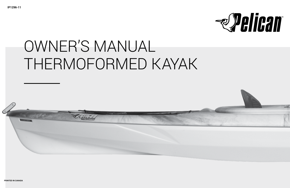

# OWNER'S MANUAL THERMOFORMED KAYAK

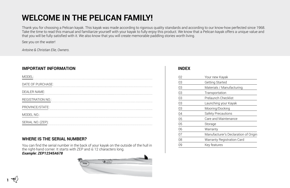## **WELCOME IN THE PELICAN FAMILY!**

Thank you for choosing a Pelican kayak. This kayak was made according to rigorous quality standards and according to our know-how perfected since 1968. Take the time to read this manual and familiarize yourself with your kayak to fully enjoy this product. We know that a Pelican kayak offers a unique value and that you will be fully satisfied with it. We also know that you will create memorable paddling stories worth living.

See you on the water!

*Antoine & Christian Elie, Owners.*

## **IMPORTANT INFORMATION INDEX**

| MODEL:              |  |
|---------------------|--|
| DATE OF PURCHASE:   |  |
| <b>DEALER NAME:</b> |  |
| REGISTRATION NO.:   |  |
| PROVINCE/STATE:     |  |
| MODEL NO.:          |  |
| SERIAL NO. (ZEP):   |  |

## **WHERE IS THE SERIAL NUMBER?**

You can find the serial number in the back of your kayak on the outside of the hull in the right-hand corner. It starts with ZEP and is 12 characters long.

### **Example: ZEP12345A678**



| 02 | Your new Kayak                       |
|----|--------------------------------------|
| 03 | <b>Getting Started</b>               |
| 03 | Materials / Manufacturing            |
| 03 | Transportation                       |
| 03 | Prelaunch Checklist                  |
| 03 | Launching your Kayak                 |
| 03 | Mooring/Docking                      |
| 04 | Safety Precautions                   |
| 05 | Care and Maintenance                 |
| 05 | Storage                              |
| 06 | Warranty                             |
| 07 | Manufacturer's Declaration of Origin |
| 08 | <b>Warranty Registration Card</b>    |
| 09 | Key features                         |
|    |                                      |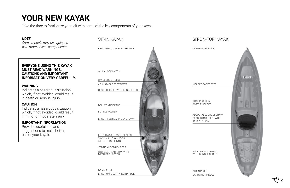## **YOUR NEW KAYAK**

Take the time to familiarize yourself with some of the key components of your kayak.

### *NOTE*

*Some models may be equipped with more or less components.* 

### **EVERYONE USING THIS KAYAK MUST READ WARNINGS, CAUTIONS AND IMPORTANT INFORMATION VERY CAREFULLY.**

### **WARNING**

Indicates a hazardous situation which, if not avoided, could result in death or serious injury.

### **CAUTION**

Indicates a hazardous situation which, if not avoided, could result in minor or moderate injury.

### **IMPORTANT INFORMATION**

Provides useful tips and suggestions to make better use of your kayak.



## SIT-IN KAYAK SIT-ON-TOP KAYAK

| CARRYING HANDLE                              |               |
|----------------------------------------------|---------------|
|                                              |               |
|                                              |               |
|                                              |               |
|                                              |               |
|                                              |               |
| MOLDED FOOTRESTS                             |               |
|                                              |               |
|                                              |               |
| <b>DUAL POSITION</b>                         |               |
| <b>BOTTLE HOLDER</b>                         |               |
|                                              |               |
| ADJUSTABLE ERGOFORM™<br>PADDED BACKREST WITH |               |
| <b>SEAT CUSHION</b>                          |               |
|                                              |               |
|                                              | $\Rightarrow$ |
|                                              |               |
|                                              |               |
|                                              |               |
| STORAGE PLATFORM<br>WITH BUNGEE CORDS        |               |
|                                              |               |
|                                              |               |
| <b>DRAIN PLUG</b>                            |               |
| CARRYING HANDLE                              |               |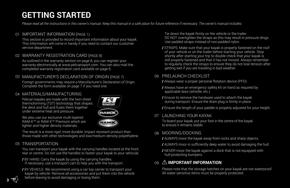## **GETTING STARTED**

*Please read all the instructions in this owner's manual. Keep this manual in a safe place for future reference if necessary. The owner's manual includes:*

## 01 IMPORTANT INFORMATION (PAGE 1)

This section is provided to record important information about your kayak. This information will come in handy if you need to contact our customer service department.

## WARRANTY REGISTRATION CARD (PAGE 8) 02

As outlined in the warranty section on page 8, you can register your warranty electronically at www.pelicansport.com. You can also mail the completed warranty registration card available on page 6.

## MANUFACTURER'S DECLARATION OF ORIGIN (PAGE 7) 03

Foreign governments may require a Manufacturer's Declaration of Origin. Complete the form available on page 7 if you need one.

## 04 MATERIALS/MANUFACTURING

Pelican kayaks are made with the twin sheet thermoforming (TST) technology that shapes the deck and hull and fuses them together under extreme heat and pressure.



We also use our exclusive multi-layered RAM-XTM or RAM-XTM Premium which are lighter and higher density materials.

The result is a more rigid, more durable, impact resistant product than those made with other technologies and low/medium density polyethylene.

## 05 TRANSPORTATION

You can transport your kayak with the carrying handles located at the front, rear or centre. Do not use the handles to fasten your kayak to your vehicule.

**/** BY HAND: Carry the kayak by using the carrying handles. If necessary, use a transport cart to help you with the transport.

**/** BY VEHICLE: We recommend using a car top carrier to transport your kayak by vehicle. Remove all accessories and put them into the vehicle before leaving to avoid damaging or losing them.

 Tie down the kayak firmly on the vehicle or the trailer. DO NOT overtighten the straps as this may result in pressure dings. Use padded straps instead of non-padded nylon.

**/** STRAPS: Make sure that your kayak is properly fastened on the roof of your vehicle or on the trailer before starting your vehicle. Stop shortly after starting your trip to double check that your kayak is still properly fastened and that it has not moved. Always remember to regularly check the straps to ensure they do not lose tension after getting wet if you are traveling in bad weather.

## 06 PRELAUNCH CHECKLIST

**/** Always wear a proper personal flotation device (PFD).

- **/** Always have an emergency safety kit on hand as required by applicable laws (whistle, etc.)
- **/** Ensure to remove the hardware used to attach the kayak during transport. Ensure the drain plug is firmly in place.

**/** Ensure the length of your paddle is properly adjusted for your height.

## 07 LAUNCHING YOUR KAYAK

To board your kayak, put your foot in the centre of the kayak to ensure it remains stable.

## 08 MOORING/DOCKING

**/** ALWAYS moor the kayak away from rocks and sharp objects.

**/** ALWAYS moor in sufficiently deep water to avoid damaging the hull.

**/** NEVER moor the kayak against a dock that is not equipped with hull-protecting bumpers.

#### **IMPORTANT INFORMATION**  $\Omega$

Please note that the storage hatches on your kayak are not waterproof. All water-sensitive items must be properly protected.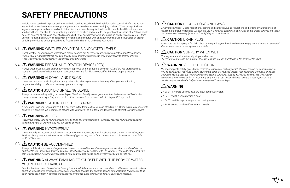## **SAFETY PRECAUTIONS**

Paddle sports can be dangerous and physically demanding. Read the following information carefully before using your kayak. Failure to follow these warnings and precautions could result in serious injury or death. When using a Pelican kayak, you are personally responsible to determine if you have the required skill level to handle the different water and wind conditions. You should use your best judgment as to when and where to use your kayak. All users of a Pelican kayak agree to assume all risks and accept all responsibilities for any damage or injury, including death, which may result from using or handling a kayak. We strongly recommend taking a course with an experienced kayaking instructor on proper paddling techniques, boating security and first aid before handling and using your kayak.

#### **WARNING** WEATHER CONDITIONS AND WATER LEVELS 01

Check weather conditions and water levels before heading out.*Never use your kayak when weather or water conditions (wind, heavy rain, thunderstorms, flooding, choppy water or strong currents) can impact your ability to steer your kayak. Head to shore as soon as possible if you already are on the water.* 

#### **WARNING** PERSONAL FLOTATION DEVICE (PFD)  $02$

Always wear a Coast Guard and/or government approved personal floating device (PFD). Before you start paddling, read the manufacturer's documentation about your PFD and familiarize yourself with how to properly wear it.

#### **WARNING** ALCOHOL AND DRUGS 03

Never use or consume alcohol, drugs or any other mind altering substance that may affect your coordination, judgment or ability to safely and securely operate your kayak.

#### **CAUTION** SOUND-SIGNALLING DEVICE 04

Always have a sound-signalling device with you. *The Coast Guard (or other government bodies) requires that boaters be equipped with a sound-signalling device to alert other vessels to their presence. Attach it to your PFD if possible.*

#### **WARNING** STANDING UP IN THE KAYAK 05

Never stand up in your kayak unless if it is specified in the features that you can stand up in it. Standing up may cause it to capsize. If it capsizes, we recommend staying with your kayak as it is far more dangerous to attempt to swim to shore.

#### **WARNING ABILITY** በ6

Know your limits. *Consult your physician before beginning your kayak training. Realistically assess your physical condition to determine how far and how long you can paddle or swim.* 

#### **WARNING** HYPOTHERMIA 07

Dress properly for weather conditions and wear a wetsuit if necessary. *Kayak accidents in cold water are very dangerous. The loss of body heat due to immersion in cold water (hypothermia) can be fatal. Survival time in cold water can be as little as 15 to 20 minutes.* 

#### *A* CAUTION BE ACCOMPANIED 08

Always paddle with someone. *It is preferable to be accompanied in case of an emergency or accident. You should also be aware of the level of physical ability and medical conditions of people paddling with you. Always let someone know about your plan to go paddling, including your destination, how long you will be gone, and how many people will be with you.* 

#### **WARNING** ALWAYS FAMILIARIZE YOURSELF WITH THE BODY OF WATER YOU INTEND TO NAVIGATE  $09$

Scout unfamiliar water. Find out when boating is permitted, if there are any known hazardous conditions and where to get help *quickly in the case of an emergency or accident. Check tidal changes and currents specific to your location. If you decide to go down rapids, scout them in advance and portage your kayak to avoid unfamiliar or dangerous areas if necessary.* 

#### **ACAUTION** REGULATIONS AND LAWS 10

Always follow Coast Guard regulations, boating and safety laws, and regulations and orders of various levels of government (including regional).*Consult the Coast Guard and government authorities on the proper handling of a kayak and the required safety equipment such as lighting and sound alarms.*

#### **CAUTION** DRAIN PLUG 11

Make sure the drain plug is firmly in place before putting your kayak in the water. *Empty water that has accumulated due to condensation or seepage once in a while.*

#### **CAUTION** SLIPPERY WHEN WET 12

The kayak material is extremely slippery when wet. *We recommend wearing slip resistant shoes to increase traction and staying in the center of the kayak.*

#### **WARNING** SELF PROTECTION 13

Wear appropriate safety gear. *Always remember that you are putting yourself at risk of serious injury or death when you go down rapids. You must take the appropriate safety precautions, inspect your equipment thoroughly, and wear appropriate safety gear. We recommend always wearing a personal floating device and a helmet. We also strongly recommend wearing protection on your arms, legs, etc. It is your responsibility to have the proper equipment and familiarize yourself with the body of water were you will use your kayak.*

## **WARNING**

**/** NEVER let minors use this kayak without adult supervision.

**/** NEVER tow this kayak behind a boat.

**/** NEVER use this kayak as a personal floating device.

**/** NEVER exceed this kayak's maximum weight.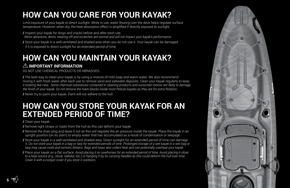## **HOW CAN YOU CARE FOR YOUR KAYAK?**

Limit exposure of your kayak to direct sunlight. While in use, water flowing over the deck helps regulate surface temperature. However, when dry, the heat absorption effect is amplified if directly exposed to sunlight.

**/** Inspect your kayak for dings and cracks before and after each use. *Minor abrasions, dents, wearing off and scratches are normal and will not impact your kayak's performance.* **/** Store your kayak in a well-ventilated and shaded area when you do not use it. Your kayak can be damaged if it is exposed to direct sunlight for an extended period of time.

## **HOW CAN YOU MAINTAIN YOUR KAYAK?**

## **IMPORTANT INFORMATION**

DO NOT USE CHEMICAL PRODUCTS OR ABRASIVES.

**/** The best way to clean your kayak is by using a mixture of mild soap and warm water. We also recommend rinsing it with fresh water after each use to remove sand and saltwater deposits. Clean your kayak regularly to keep it looking like new. *Some chemical substances contained in cleaning products and sunscreen lotions are likely to damage the finish of your kayak. Do not remove the foam blocks inside most Pelican kayaks as they are for extra flotation.*

**/** Never try to paint your kayak. Paint will not adhere to the hull.

## **HOW CAN YOU STORE YOUR KAYAK FOR AN EXTENDED PERIOD OF TIME?**

**/** Clean your kayak.

**/** Remove tight straps or ropes from the hull as this can deform your kayak.

**/** Remove the drain plug and leave it out as this will regulate the air pressure inside the kayak. Place the kayak in an upright position (on its stern) to empty water that has accumulated as a result of condensation or seepage.

**/** Store your kayak in a well-ventilated and shaded area. Direct sunlight for an extended period of time can damage it. *Do not store your kayak in a bag or tarp for extended periods of time. Prolonged storage of a wet kayak in a wet bag or tarp may cause mold and osmotic blisters. Bags and tarps also collect heat and can potentially overheat your kayak.*

**/** Place your kayak on a flat surface. *Avoid placing it on sawhorses for an extended period of time. Avoid placing it close to a heat source (e.g., stove, radiator, etc.) or hanging it by its carrying handles as this could deform the hull over time. Cover it with a cockpit cover if you store it outdoors.*

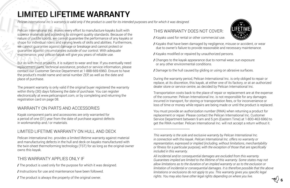## **LIMITED LIFETIME WARRANTY**

*Pelican International Inc.'s warranty is valid only if the product is used for its intended purposes and for which it was designed.* 

Pelican International Inc. makes every effort to manufacture kayaks built with superior materials and according to stringent quality standards. Because of the nature of paddle sports, we cannot guarantee the performance of any kayaks or shape for individual riders and varying levels of skills and abilities. Furthermore, we cannot guarantee against damage or breakage and cannot protect or guarantee against circumstances outside of our control. With adequate maintenance, your pelican kayak will give you years of reliable use.

But as with most products, it is subject to wear and tear. If you eventually need replacement parts, technical assistance, product or service information, please contact our Customer Service Department at 1-888-669-6960. Ensure to have the product's model name and serial number ZEP, as well as the date and place of purchase.

The present warranty is only valid if the original buyer registered the warranty within thirty (30) days following the date of purchase. You can register electronically at www.pelicansport.com, or by completing and returning the registration card on page 08.

## WARRANTY ON PARTS AND ACCESSORIES

Kayak component parts and accessories are only warranted for a period of one (01) year from the date of purchase against defects in workmanship and / or materials.

## LIMITED LIFETIME WARRANTY ON HULL AND DECK

Pelican International Inc. provides a limited lifetime warranty against material and manufacturing defects in the hull and deck on kayaks manufactured with the twin-sheet thermoforming technology (TST) for as long as the original owner owns this kayak.

## THIS WARRANTY APPLIES ONLY IF

**/** The product is used only for the purpose for which it was designed.

- **/** Instructions for use and maintenance have been followed.
- **/** The product is always the property of the original owner.

## THIS WARRANTY DOES NOT COVER:

**/** Kayaks used for rental or other commercial use.

**/** Kayaks that have been damaged by negligence, misuse or accident, or wear due to owner's failure to provide reasonable and necessary maintenance.

**/** Kayaks modified or repaired by unauthorized persons.

**/** Changes to the kayak appearance due to normal wear, sun exposure or any other environmental conditions.

**/** Damage to the hull caused by gliding or using on abrasive surfaces.

During the warranty period, Pelican International Inc. is only obliged to repair or replace, at its discretion, this kayak, at either one of its factory, or at an authorized dealer store or service centre, as decided by Pelican International Inc.

Transportation costs back to the place of repair or replacement are at the expense of the consumer. Pelican International Inc. is not responsible for any damages incurred in transport, for storing or transportation fees, or for inconvenience or loss of time or money while repairs are being made or until the product is replaced.

You must provide an authorization number (RMA) when returning a product for replacement or repair. Please contact the Pelican International Inc. Customer Service Department between 9 am and 5 pm (Eastern Time) at 1-800-463-6960 to get the RMA number. Pelican International Inc. will not accept a return without it.



*This warranty is the sole and exclusive warranty by Pelican International Inc. in connection with this kayak. Pelican International Inc. offers no warranty or representation, expressed or implied (including, without limitations, merchantability or fitness for a particular purpose), with the exception of those that are specifically included in this warranty.*

*All incidental and/or consequential damages are excluded from this warranty. Guarantees implied are limited to the lifetime of this warranty. Some states may not allow limitations as to the duration of an implied warranty or as to the exclusion or limitation of incidental or consequential damages. It is therefore possible that the above limitations or exclusions do not apply to you. This warranty gives you specific legal rights. You may also have other legal rights depending on where you live.*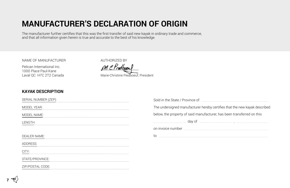## **MANUFACTURER'S DECLARATION OF ORIGIN**

The manufacturer further certifies that this was the first transfer of said new kayak in ordinary trade and commerce, and that all information given herein is true and accurate to the best of his knowledge.

NAME OF MANUFACTURER

Pelican International Inc. 1000 Place Paul-Kane Laval QC H7C 2T2 Canada

AUTHORIZED BY M C Prodboou Marie-Christine Piedboeuf, President

## **KAYAK DESCRIPTION**

| SERIAL NUMBER (ZEP): | Sold in the State / Province of<br>$\begin{minipage}[b]{0.9\textwidth} \begin{itemize} \begin{itemize} \begin{itemize} \end{itemize} \end{itemize} \end{minipage} \begin{itemize} \begin{itemize} \end{itemize} \end{itemize} \end{minipage} \begin{itemize} \begin{itemize} \end{itemize} \end{itemize} \end{minipage} \begin{itemize} \begin{itemize} \end{itemize} \end{itemize} \end{itemize} \end{minipage} \begin{itemize} \begin{itemize} \end{itemize} \end{itemize} \end{itemize} \end{itemize} \end{minipage} \begin{itemize} \begin{itemize} \end{itemize} \end{itemize} \$ |  |
|----------------------|----------------------------------------------------------------------------------------------------------------------------------------------------------------------------------------------------------------------------------------------------------------------------------------------------------------------------------------------------------------------------------------------------------------------------------------------------------------------------------------------------------------------------------------------------------------------------------------|--|
| <b>MODEL YEAR:</b>   | The undersigned manufacturer hereby certifies that the new kayak described                                                                                                                                                                                                                                                                                                                                                                                                                                                                                                             |  |
| MODEL NAME:          | below, the property of said manufacturer, has been transferred on this                                                                                                                                                                                                                                                                                                                                                                                                                                                                                                                 |  |
| LENGTH:              | day of                                                                                                                                                                                                                                                                                                                                                                                                                                                                                                                                                                                 |  |
|                      |                                                                                                                                                                                                                                                                                                                                                                                                                                                                                                                                                                                        |  |
| DEALER NAME:         |                                                                                                                                                                                                                                                                                                                                                                                                                                                                                                                                                                                        |  |
| DDRFSS:              |                                                                                                                                                                                                                                                                                                                                                                                                                                                                                                                                                                                        |  |
|                      |                                                                                                                                                                                                                                                                                                                                                                                                                                                                                                                                                                                        |  |
| STATE/PROVINCE:      |                                                                                                                                                                                                                                                                                                                                                                                                                                                                                                                                                                                        |  |
| ZIP/POSTAL CODF:     |                                                                                                                                                                                                                                                                                                                                                                                                                                                                                                                                                                                        |  |
|                      |                                                                                                                                                                                                                                                                                                                                                                                                                                                                                                                                                                                        |  |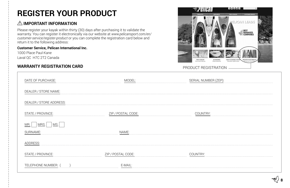## **REGISTER YOUR PRODUCT**

## **IMPORTANT INFORMATION**

Please register your kayak within thirty (30) days after purchasing it to validate the warranty. You can register it electronically via our website at *www.pelicansport.com/en/ customer-service/register-product* or you can complete the registration card below and return it to the following address:

### **Customer Service, Pelican International Inc.**

1000 Place Paul-Kane Laval QC H7C 2T2 Canada

## **WARRANTY REGISTRATION CARD EXECUTE: PRODUCT REGISTRATION**



| DATE OF PURCHASE:       |                    | SERIAL NUMBER (ZEP): |
|-------------------------|--------------------|----------------------|
| DEALER / STORE NAME:    |                    |                      |
| DEALER / STORE ADDRESS: |                    |                      |
| STATE / PROVINCE:       | ZIP / POSTAL CODE: | COUNTRY:             |
| MS.<br>MRS.             |                    |                      |
| SURNAME:                | NAME:              |                      |
| ADDRESS:                |                    |                      |
| STATE / PROVINCE:       | ZIP / POSTAL CODE: | COUNTRY:             |
| TELEPHONE NUMBER:       | E-MAIL:            |                      |